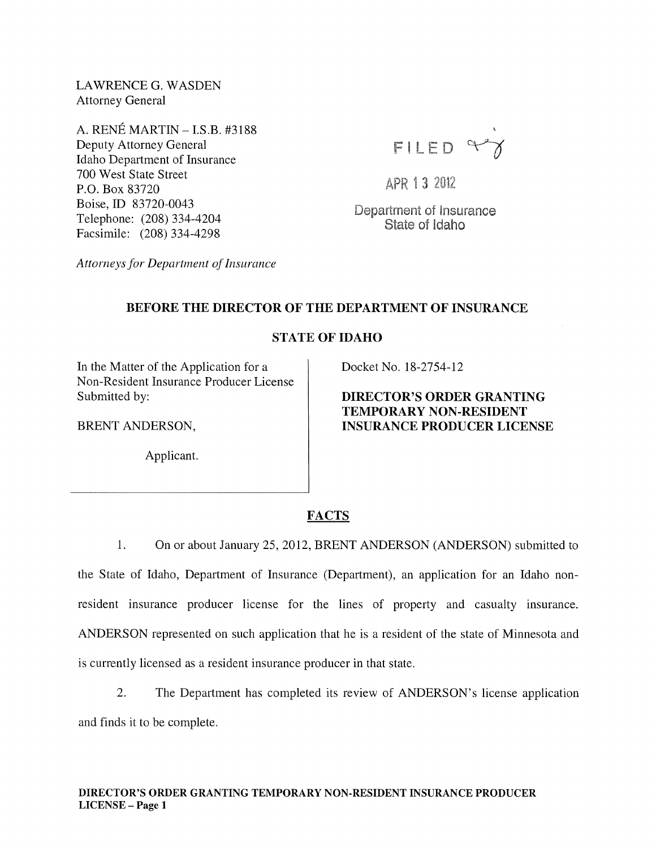LAWRENCE G. WASDEN Attorney General

A. RENÉ MARTIN - I.S.B. #3188 Deputy Attorney General Idaho Department of Insurance 700 West State Street P.O. Box 83720 Boise, ID 83720-0043 Telephone: (208) 334-4204 Facsimile: (208) 334-4298



APR 13 2012

Department of Insurance State of Idaho

*Attorneys for Department of Insurance* 

# BEFORE THE DIRECTOR OF THE DEPARTMENT OF INSURANCE

# STATE OF IDAHO

In the Matter of the Application for a Non-Resident Insurance Producer License Submitted by:

BRENT ANDERSON,

Applicant.

Docket No. 18-2754-12

DIRECTOR'S ORDER GRANTING TEMPORARY NON-RESIDENT INSURANCE PRODUCER LICENSE

# FACTS

1. On or about January 25,2012, BRENT ANDERSON (ANDERSON) submitted to the State of Idaho, Department of Insurance (Department), an application for an Idaho nonresident insurance producer license for the lines of property and casualty insurance. ANDERSON represented on such application that he is a resident of the state of Minnesota and is currently licensed as a resident insurance producer in that state.

2. The Department has completed its review of ANDERSON's license application and finds it to be complete.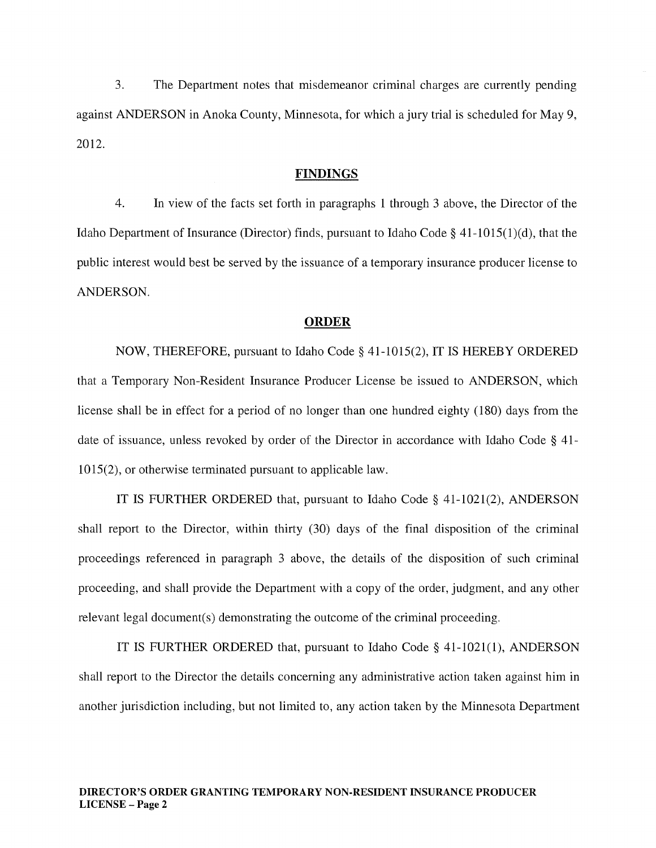3. The Department notes that misdemeanor criminal charges are currently pending against ANDERSON in Anoka County, Minnesota, for which a jury trial is scheduled for May 9, 2012.

#### FINDINGS

4. In view of the facts set forth in paragraphs 1 through 3 above, the Director of the Idaho Department of Insurance (Director) finds, pursuant to Idaho Code § 41-1015(1)(d), that the public interest would best be served by the issuance of a temporary insurance producer license to ANDERSON.

#### ORDER

NOW, THEREFORE, pursuant to Idaho Code § 41-1015(2), IT IS HEREBY ORDERED that a Temporary Non-Resident Insurance Producer License be issued to ANDERSON, which license shall be in effect for a period of no longer than one hundred eighty (180) days from the date of issuance, unless revoked by order of the Director in accordance with Idaho Code § 41- 1015(2), or otherwise terminated pursuant to applicable law.

IT IS FURTHER ORDERED that, pursuant to Idaho Code § 41-1021(2), ANDERSON shall report to the Director, within thirty (30) days of the final disposition of the criminal proceedings referenced in paragraph 3 above, the details of the disposition of such criminal proceeding, and shall provide the Department with a copy of the order, judgment, and any other relevant legal document(s) demonstrating the outcome of the criminal proceeding.

IT IS FURTHER ORDERED that, pursuant to Idaho Code § 41 1021(1), ANDERSON shall report to the Director the details concerning any administrative action taken against him in another jurisdiction including, but not limited to, any action taken by the Minnesota Department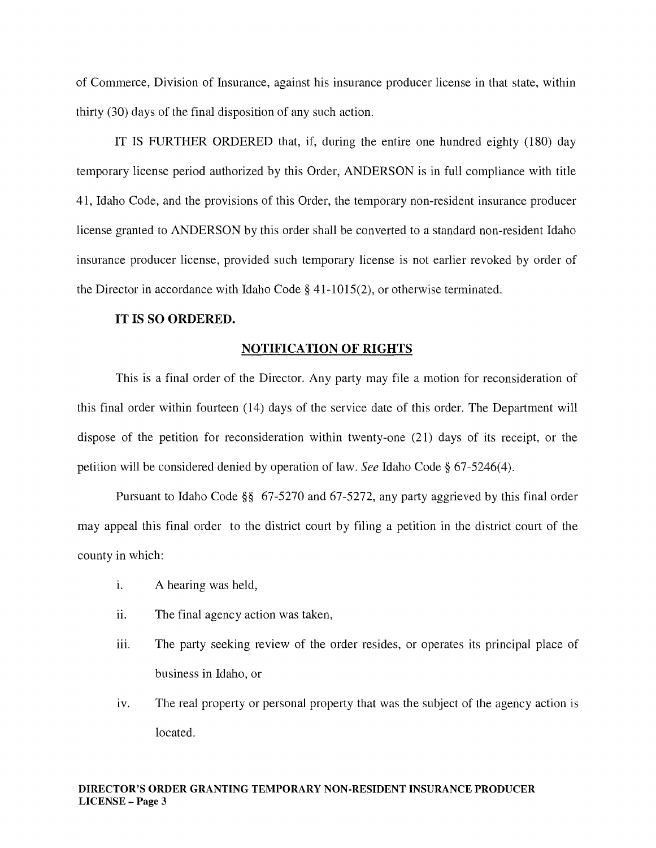of Commerce, Division of Insurance, against his insurance producer license in that state, within thirty (30) days of the final disposition of any such action.

IT IS FURTHER ORDERED that, if, during the entire one hundred eighty (180) day temporary license period authorized by this Order, ANDERSON is in full compliance with title 41, Idaho Code, and the provisions of this Order, the temporary non-resident insurance producer license granted to ANDERSON by this order shall be converted to a standard non-resident Idaho insurance producer license, provided such temporary license is not earlier revoked by order of the Director in accordance with Idaho Code § 41-1015(2), or otherwise terminated.

## IT IS SO ORDERED.

## NOTIFICATION OF RIGHTS

This is a final order of the Director. Any party may file a motion for reconsideration of this final order within fourteen (14) days of the service date of this order. The Department will dispose of the petition for reconsideration within twenty-one (21) days of its receipt, or the petition will be considered denied by operation of law. *See* Idaho Code § 67-5246(4).

Pursuant to Idaho Code §§ 67-5270 and 67-5272, any party aggrieved by this final order may appeal this final order to the district court by filing a petition in the district court of the county in which:

- i. A hearing was held,
- ii. The final agency action was taken,
- iii. The party seeking review of the order resides, or operates its principal place of business in Idaho, or
- iv. The real property or personal property that was the subject of the agency action is located.